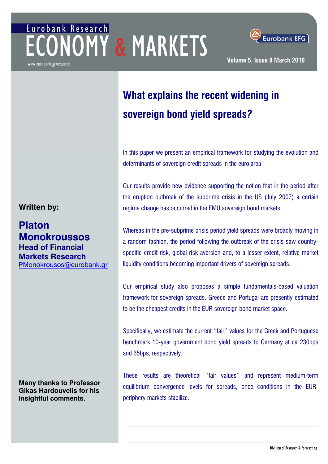# Eurobank Research *NOMY & MARKETS*



**Eurobank EFG** 

**Volume 5, Issue 8 March 2010**

## **What explains the recent widening in sovereign bond yield spreads***?*

In this paper we present an empirical framework for studying the evolution and determinants of sovereign credit spreads in the euro area

Our results provide new evidence supporting the notion that in the period after the eruption outbreak of the subprime crisis in the US (July 2007) a certain **Written by: regime change has occurred in the EMU sovereign bond markets.** 

**Monokroussos** Whereas in the pre-subprime crisis period yield spreads were broadly moving in<br> **Monokroussos** a random fashion, the period following the outbreak of the crisis saw countryspecific credit risk, global risk aversion and, to a lesser extent, relative market liquidity conditions becoming important drivers of sovereign spreads.

> Our empirical study also proposes a simple fundamentals-based valuation framework for sovereign spreads. Greece and Portugal are presently estimated to be the cheapest credits in the EUR sovereign bond market space.

> Specifically, we estimate the current ''fair'' values for the Greek and Portuguese benchmark 10-year government bond yield spreads to Germany at ca 230bps and 65bps, respectively.

> These results are theoretical ''fair values'' and represent medium-term equilibrium convergence levels for spreads, once conditions in the EURperiphery markets stabilize.

**Platon Head of Financial Markets Research**  [PMonokrousos@eurobank.gr](mailto:PMonokrousos@eurobank.gr)

**Many thanks to Professor Gikas Hardouvelis for his insightful comments.**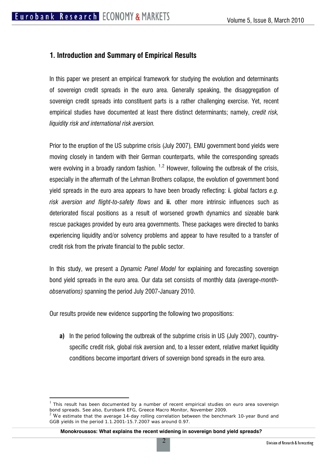## **1. Introduction and Summary of Empirical Results**

In this paper we present an empirical framework for studying the evolution and determinants of sovereign credit spreads in the euro area. Generally speaking, the disaggregation of sovereign credit spreads into constituent parts is a rather challenging exercise. Yet, recent empirical studies have documented at least there distinct determinants; namely, *credit risk, liquidity risk and international risk aversion.*

Prior to the eruption of the US subprime crisis (July 2007)*,* EMU government bond yields were moving closely in tandem with their German counterparts, while the corresponding spreads were evolving in a broadly random fashion.  $1,2$  $1,2$  $1,2$  However, following the outbreak of the crisis, especially in the aftermath of the Lehman Brothers collapse, the evolution of government bond yield spreads in the euro area appears to have been broadly reflecting: **i.** global factors *e.g. risk aversion and flight-to-safety flows* and **ii.** other more intrinsic influences such as deteriorated fiscal positions as a result of worsened growth dynamics and sizeable bank rescue packages provided by euro area governments. These packages were directed to banks experiencing liquidity and/or solvency problems and appear to have resulted to a transfer of credit risk from the private financial to the public sector.

In this study, we present a *Dynamic Panel Model* for explaining and forecasting sovereign bond yield spreads in the euro area. Our data set consists of monthly data *(average-monthobservations)* spanning the period July 2007-January 2010.

Our results provide new evidence supporting the following two propositions:

 $\overline{a}$ 

**a)** In the period following the outbreak of the subprime crisis in US (July 2007), countryspecific credit risk, global risk aversion and, to a lesser extent, relative market liquidity conditions become important drivers of sovereign bond spreads in the euro area.

<span id="page-1-0"></span> $<sup>1</sup>$  This result has been documented by a number of recent empirical studies on euro area sovereign</sup> bond spreads. See also, Eurobank EFG, Greece Macro Monitor, November 2009.

<span id="page-1-1"></span> $2$  We estimate that the average 14-day rolling correlation between the benchmark 10-year Bund and GGB yields in the period 1.1.2001-15.7.2007 was around 0.97.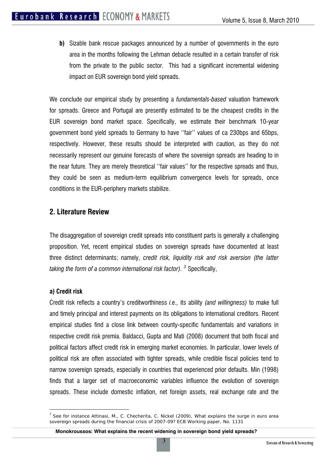**b)** Sizable bank rescue packages announced by a number of governments in the euro area in the months following the Lehman debacle resulted in a certain transfer of risk from the private to the public sector. This had a significant incremental widening impact on EUR sovereign bond yield spreads.

We conclude our empirical study by presenting a *fundamentals-based* valuation framework for spreads. Greece and Portugal are presently estimated to be the cheapest credits in the EUR sovereign bond market space. Specifically, we estimate their benchmark 10-year government bond yield spreads to Germany to have ''fair'' values of ca 230bps and 65bps, respectively. However, these results should be interpreted with caution, as they do not necessarily represent our genuine forecasts of where the sovereign spreads are heading to in the near future. They are merely theoretical ''fair values'' for the respective spreads and thus, they could be seen as medium-term equilibrium convergence levels for spreads, once conditions in the EUR-periphery markets stabilize.

## **2. Literature Review**

The disaggregation of sovereign credit spreads into constituent parts is generally a challenging proposition. Yet, recent empirical studies on sovereign spreads have documented at least three distinct determinants; namely, *credit risk, liquidity risk and risk aversion (the latter taking the form of a common international risk factor). [3](#page-2-0)* Specifically,

#### **a) Credit risk**

 $\overline{a}$ 

Credit risk reflects a country's creditworthiness *i.e.,* its ability *(and willingness)* to make full and timely principal and interest payments on its obligations to international creditors. Recent empirical studies find a close link between county-specific fundamentals and variations in respective credit risk premia. Baldacci, Gupta and Mati (2008) document that both fiscal and political factors affect credit risk in emerging market economies. In particular, lower levels of political risk are often associated with tighter spreads, while credible fiscal policies tend to narrow sovereign spreads, especially in countries that experienced prior defaults. Min (1998) finds that a larger set of macroeconomic variables influence the evolution of sovereign spreads. These include domestic inflation, net foreign assets, real exchange rate and the

<span id="page-2-0"></span><sup>&</sup>lt;sup>3</sup> See for instance Attinasi, M., C. Checherita, C. Nickel (2009), What explains the surge in euro area sovereign spreads during the financial crisis of 2007-09? ECB Working paper, No. 1131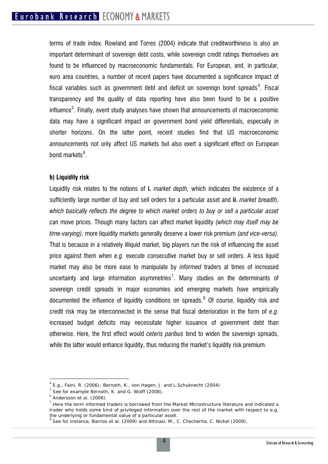terms of trade index. Rowland and Torres (2004) indicate that creditworthiness is also an important determinant of sovereign debt costs, while sovereign credit ratings themselves are found to be influenced by macroeconomic fundamentals. For European, and, in particular, euro area countries, a number of recent papers have documented a significance impact of fiscal variables such as government debt and deficit on sovereign bond spreads<sup>[4](#page-3-0)</sup>. Fiscal transparency and the quality of data reporting have also been found to be a positive influence<sup>[5](#page-3-1)</sup>. Finally, event study analyses have shown that announcements of macroeconomic data may have a significant impact on government bond yield differentials, especially in shorter horizons. On the latter point, recent studies find that US macroeconomic announcements not only affect US markets but also exert a significant effect on European bond markets<sup>[6](#page-3-2)</sup>.

#### **b) Liquidity risk**

Liquidity risk relates to the notions of **i.** *market depth,* which indicates the existence of a sufficiently large number of buy and sell orders for a particular asset and **ii.** *market breadth, which basically reflects the degree to which market orders to buy or sell a particular asset c*an move prices. Though many factors can affect market liquidity *(which may itself may be time-varying)*, more liquidity markets generally deserve a lower risk premium *(and vice-versa).* That is because in a relatively illiquid market, big players run the risk of influencing the asset price against them when *e.g.* execute consecutive market buy or sell orders. A less liquid market may also be more ease to manipulate by *informed* traders at times of increased uncertainty and large information asymmetries<sup>[7](#page-3-3)</sup>. Many studies on the determinants of sovereign credit spreads in major economies and emerging markets have empirically documented the influence of liquidity conditions on spreads. $8$  Of course, liquidity risk and credit risk may be interconnected in the sense that fiscal deterioration in the form of *e.g.* increased budget deficits may necessitate higher issuance of government debt than otherwise. Here, the first effect would *ceteris paribus* tend to widen the sovereign spreads, while the latter would enhance liquidity, thus reducing the market's liquidity risk premium.

 $\overline{a}$ 

<span id="page-3-0"></span> $^4$  E.g., Faini, R. (2006); Bernoth, K., von Hagen, J. and L.Schuknecht (2004)<br>
<sup>5</sup> See for example Bernoth, K. and G. Wolff (2008).

<span id="page-3-1"></span>

<span id="page-3-3"></span><span id="page-3-2"></span>

 $^6$  Andersson et al. (2006).<br><sup>7</sup> Here the term informed traders is borrowed from the Market Microstructure literature and indicated a trader who holds some kind of privileged information over the rest of the market with respect to e.g.<br>the underlying or fundamental value of a particular asset.

<span id="page-3-4"></span> $8$  See for instance, Barrios et al. (2009) and Attinasi, M., C. Checherita, C. Nickel (2009),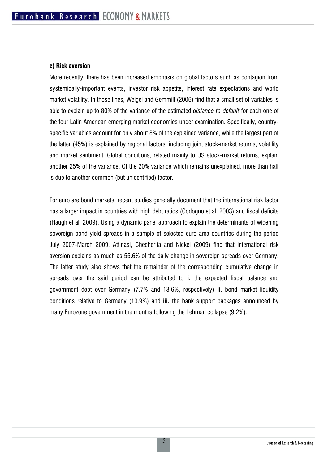#### **c) Risk aversion**

More recently, there has been increased emphasis on global factors such as contagion from systemically-important events, investor risk appetite, interest rate expectations and world market volatility. In those lines, Weigel and Gemmill (2006) find that a small set of variables is able to explain up to 80% of the variance of the estimated *distance-to-default* for each one of the four Latin American emerging market economies under examination. Specifically, countryspecific variables account for only about 8% of the explained variance, while the largest part of the latter (45%) is explained by regional factors, including joint stock-market returns, volatility and market sentiment. Global conditions, related mainly to US stock-market returns, explain another 25% of the variance. Of the 20% variance which remains unexplained, more than half is due to another common (but unidentified) factor.

For euro are bond markets, recent studies generally document that the international risk factor has a larger impact in countries with high debt ratios (Codogno et al. 2003) and fiscal deficits (Haugh et al. 2009). Using a dynamic panel approach to explain the determinants of widening sovereign bond yield spreads in a sample of selected euro area countries during the period July 2007-March 2009, Attinasi, Checherita and Nickel (2009) find that international risk aversion explains as much as 55.6% of the daily change in sovereign spreads over Germany. The latter study also shows that the remainder of the corresponding cumulative change in spreads over the said period can be attributed to **i.** the expected fiscal balance and government debt over Germany (7.7% and 13.6%, respectively) **ii.** bond market liquidity conditions relative to Germany (13.9%) and **iii.** the bank support packages announced by many Eurozone government in the months following the Lehman collapse (9.2%).

5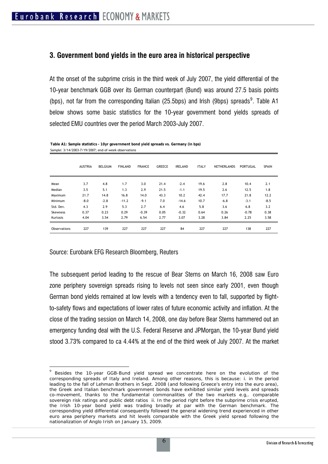### **3. Government bond yields in the euro area in historical perspective**

At the onset of the subprime crisis in the third week of July 2007, the yield differential of the 10-year benchmark GGB over its German counterpart (Bund) was around 27.5 basis points (bps), not far from the corresponding Italian (25.5bps) and Irish ([9](#page-5-0)bps) spreads<sup>9</sup>. Table A1 below shows some basic statistics for the 10-year government bond yields spreads of selected EMU countries over the period March 2003-July 2007.

|              | <b>AUSTRIA</b> | <b>BELGIUM</b> | <b>FINLAND</b> | <b>FRANCE</b> | <b>GREECE</b> | <b>IRELAND</b> | <b>ITALY</b> | <b>NETHERLANDS</b> | PORTUGAL | <b>SPAIN</b> |
|--------------|----------------|----------------|----------------|---------------|---------------|----------------|--------------|--------------------|----------|--------------|
| Mean         | 3.7            | 4.8            | 1.7            | 3.0           | 21.4          | $-2.4$         | 19.6         | 2.8                | 10.4     | 2.1          |
| Median       | 3.5            | 5.1            | 1.3            | 2.9           | 21.5          | $-1.1$         | 19.5         | 2.6                | 12.5     | 1.8          |
| Maximum      | 21.7           | 14.8           | 16.8           | 14.0          | 43.3          | 10.2           | 42.4         | 17.7               | 21.8     | 12.2         |
| Minimum      | $-8.0$         | $-2.8$         | $-11.2$        | $-9.1$        | 7.0           | $-14.6$        | 10.7         | $-6.8$             | $-3.1$   | $-8.5$       |
| Std. Dev.    | 4.3            | 2.9            | 5.3            | 2.7           | 6.4           | 4.6            | 5.8          | 3.6                | 6.8      | 3.2          |
| Skewness     | 0.37           | 0.23           | 0.29           | $-0.39$       | 0.05          | $-0.32$        | 0.64         | 0.26               | $-0.78$  | 0.38         |
| Kurtosis     | 4.04           | 3.54           | 2.79           | 6.54          | 2.77          | 3.07           | 3.28         | 3.84               | 2.25     | 3.58         |
| Observations | 227            | 139            | 227            | 227           | 227           | 84             | 227          | 227                | 138      | 227          |

**Table A1: Sample statistics - 10yr government bond yield spreads vs. Germany (in bps)** Sample: 3/14/2003-7/19/2007; end-of-week observations

Source: Eurobank EFG Research Bloomberg, Reuters

 $\overline{a}$ 

The subsequent period leading to the rescue of Bear Sterns on March 16, 2008 saw Euro zone periphery sovereign spreads rising to levels not seen since early 2001, even though German bond yields remained at low levels with a tendency even to fall, supported by flightto-safety flows and expectations of lower rates of future economic activity and inflation. At the close of the trading session on March 14, 2008, one day before Bear Sterns hammered out an emergency funding deal with the U.S. Federal Reserve and JPMorgan, the 10-year Bund yield stood 3.73% compared to ca 4.44% at the end of the third week of July 2007. At the market

<span id="page-5-0"></span> $9$  Besides the 10-year GGB-Bund yield spread we concentrate here on the evolution of the corresponding spreads of Italy and Ireland. Among other reasons, this is because: i. in the period leading to the fall of Lehman Brothers in Sept. 2008 (and following Greece's entry into the euro area), the Greek and Italian benchmark government bonds have exhibited similar yield levels and spreads co-movement, thanks to the fundamental commonalities of the two markets e.g,. comparable sovereign risk ratings and public debt ratios ii. In the period right before the subprime crisis erupted, the Irish 10-year bond yield was trading broadly at par with the German benchmark. The corresponding yield differential consequently followed the general widening trend experienced in other euro area periphery markets and hit levels comparable with the Greek yield spread following the nationalization of Anglo Irish on January 15, 2009.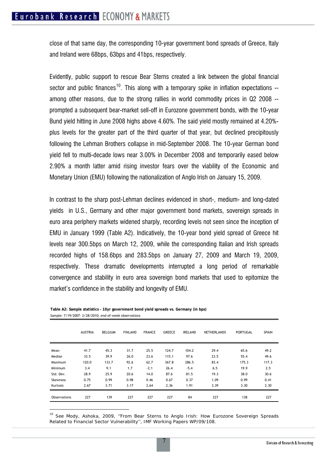close of that same day, the corresponding 10-year government bond spreads of Greece, Italy and Ireland were 68bps, 63bps and 41bps, respectively.

Evidently, public support to rescue Bear Sterns created a link between the global financial sector and public finances<sup>[10](#page-6-0)</sup>. This along with a temporary spike in inflation expectations  $$ among other reasons, due to the strong rallies in world commodity prices in Q2 2008 - prompted a subsequent bear-market sell-off in Eurozone government bonds, with the 10-year Bund yield hitting in June 2008 highs above 4.60%. The said yield mostly remained at 4.20% plus levels for the greater part of the third quarter of that year, but declined precipitously following the Lehman Brothers collapse in mid-September 2008. The 10-year German bond yield fell to multi-decade lows near 3.00% in December 2008 and temporarily eased below 2.90% a month latter amid rising investor fears over the viability of the Economic and Monetary Union (EMU) following the nationalization of Anglo Irish on January 15, 2009.

In contrast to the sharp post-Lehman declines evidenced in short-, medium- and long-dated yields in U.S., Germany and other major government bond markets, sovereign spreads in euro area periphery markets widened sharply, recording levels not seen since the inception of EMU in January 1999 (Table A2). Indicatively, the 10-year bond yield spread of Greece hit levels near 300.5bps on March 12, 2009, while the corresponding Italian and Irish spreads recorded highs of 158.6bps and 283.5bps on January 27, 2009 and March 19, 2009, respectively. These dramatic developments interrupted a long period of remarkable convergence and stability in euro area sovereign bond markets that used to epitomize the market's confidence in the stability and longevity of EMU.

|                 | <b>AUSTRIA</b> | <b>BELGIUM</b> | <b>FINLAND</b> | <b>FRANCE</b> | <b>GREECE</b> | <b>IRELAND</b> | <b>NETHERLANDS</b> | PORTUGAL | <b>SPAIN</b> |
|-----------------|----------------|----------------|----------------|---------------|---------------|----------------|--------------------|----------|--------------|
| Mean            | 41.7           | 45.3           | 31.7           | 25.5          | 124.7         | 104.2          | 29.4               | 65.6     | 49.2         |
| Median          | 33.5           | 39.9           | 26.0           | 23.6          | 115.1         | 97.6           | 23.5               | 55.4     | 49.6         |
| Maximum         | 120.0          | 133.7          | 92.6           | 62.7          | 367.8         | 286.5          | 83.4               | 175.3    | 117.3        |
| Minimum         | 3.4            | 9.1            | 1.7            | $-2.1$        | 26.4          | $-5.4$         | 6.5                | 19.9     | 2.5          |
| Std. Dev.       | 28.9           | 25.9           | 20.6           | 14.0          | 87.6          | 81.5           | 19.3               | 38.0     | 30.6         |
| <b>Skewness</b> | 0.75           | 0.99           | 0.98           | 0.46          | 0.67          | 0.37           | 1.09               | 0.99     | 0.41         |
| Kurtosis        | 2.67           | 3.71           | 3.17           | 2.64          | 2.36          | 1.91           | 3.39               | 3.30     | 2.30         |
| Observations    | 227            | 139            | 227            | 227           | 227           | 84             | 227                | 138      | 227          |

**Table A2: Sample statistics - 10yr government bond yield spreads vs. Germany (in bps)** Sample: 7/19/2007- 2/28/2010; end-of-week observations

 $\overline{a}$ 

<span id="page-6-0"></span> $10$  See Mody, Ashoka, 2009, "From Bear Sterns to Anglo Irish: How Eurozone Sovereign Spreads Related to Financial Sector Vulnerability'', *IMF Working Papers WP/09/108.*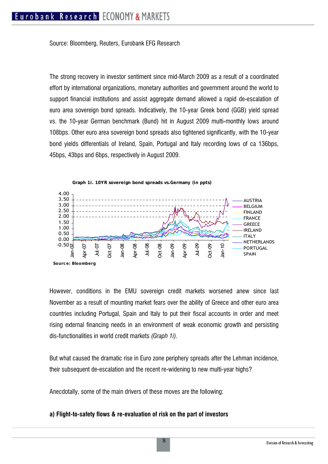Source: Bloomberg, Reuters, Eurobank EFG Research

The strong recovery in investor sentiment since mid-March 2009 as a result of a coordinated effort by international organizations, monetary authorities and government around the world to support financial institutions and assist aggregate demand allowed a rapid de-escalation of euro area sovereign bond spreads. Indicatively, the 10-year Greek bond (GGB) yield spread vs. the 10-year German benchmark (Bund) hit in August 2009 multi-monthly lows around 108bps. Other euro area sovereign bond spreads also tightened significantly, with the 10-year bond yields differentials of Ireland, Spain, Portugal and Italy recording lows of ca 136bps, 45bps, 43bps and 6bps, respectively in August 2009.



However, conditions in the EMU sovereign credit markets worsened anew since last November as a result of mounting market fears over the ability of Greece and other euro area countries including Portugal, Spain and Italy to put their fiscal accounts in order and meet rising external financing needs in an environment of weak economic growth and persisting dis-functionalities in world credit markets *(Graph 1i).* 

But what caused the dramatic rise in Euro zone periphery spreads after the Lehman incidence, their subsequent de-escalation and the recent re-widening to new multi-year highs?

Anecdotally, some of the main drivers of these moves are the following:

#### **a) Flight-to-safety flows & re-evaluation of risk on the part of investors**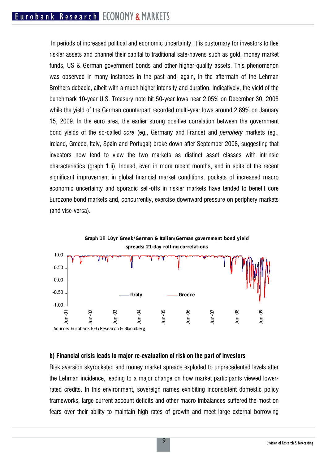In periods of increased political and economic uncertainty, it is customary for investors to flee riskier assets and channel their capital to traditional safe-havens such as gold, money market funds, US & German government bonds and other higher-quality assets. This phenomenon was observed in many instances in the past and, again, in the aftermath of the Lehman Brothers debacle, albeit with a much higher intensity and duration. Indicatively, the yield of the benchmark 10-year U.S. Treasury note hit 50-year lows near 2.05% on December 30, 2008 while the yield of the German counterpart recorded multi-year lows around 2.89% on January 15, 2009. In the euro area, the earlier strong positive correlation between the government bond yields of the so-called *core* (eg., Germany and France) and *periphery* markets (eg., Ireland, Greece, Italy, Spain and Portugal) broke down after September 2008, suggesting that investors now tend to view the two markets as distinct asset classes with intrinsic characteristics (graph 1.ii). Indeed, even in more recent months, and in spite of the recent significant improvement in global financial market conditions, pockets of increased macro economic uncertainty and sporadic sell-offs in riskier markets have tended to benefit core Eurozone bond markets and, concurrently, exercise downward pressure on periphery markets (and vise-versa).



#### **b) Financial crisis leads to major re-evaluation of risk on the part of investors**

Risk aversion skyrocketed and money market spreads exploded to unprecedented levels after the Lehman incidence, leading to a major change on how market participants viewed lowerrated credits. In this environment, sovereign names exhibiting inconsistent domestic policy frameworks, large current account deficits and other macro imbalances suffered the most on fears over their ability to maintain high rates of growth and meet large external borrowing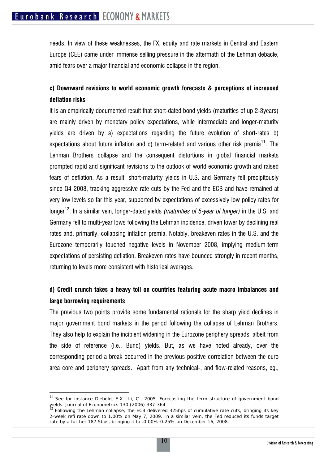needs. In view of these weaknesses, the FX, equity and rate markets in Central and Eastern Europe (CEE) came under immense selling pressure in the aftermath of the Lehman debacle, amid fears over a major financial and economic collapse in the region.

## **c) Downward revisions to world economic growth forecasts & perceptions of increased deflation risks**

It is an empirically documented result that short-dated bond yields (maturities of up 2-3years) are mainly driven by monetary policy expectations, while intermediate and longer-maturity yields are driven by a) expectations regarding the future evolution of short-rates b) expectations about future inflation and c) term-related and various other risk premia<sup>[11](#page-9-0)</sup>. The Lehman Brothers collapse and the consequent distortions in global financial markets prompted rapid and significant revisions to the outlook of world economic growth and raised fears of deflation. As a result, short-maturity yields in U.S. and Germany fell precipitously since Q4 2008, tracking aggressive rate cuts by the Fed and the ECB and have remained at very low levels so far this year, supported by expectations of excessively low policy rates for longer[12](#page-9-1). In a similar vein, longer-dated yields *(maturities of 5-year of longer)* in the U.S. and Germany fell to multi-year lows following the Lehman incidence, driven lower by declining real rates and, primarily, collapsing inflation premia. Notably, breakeven rates in the U.S. and the Eurozone temporarily touched negative levels in November 2008, implying medium-term expectations of persisting deflation. Breakeven rates have bounced strongly in recent months, returning to levels more consistent with historical averages.

## **d) Credit crunch takes a heavy toll on countries featuring acute macro imbalances and large borrowing requirements**

The previous two points provide some fundamental rationale for the sharp yield declines in major government bond markets in the period following the collapse of Lehman Brothers. They also help to explain the incipient widening in the Eurozone periphery spreads, albeit from the side of reference (i.e., Bund) yields. But, as we have noted already, over the corresponding period a break occurred in the previous positive correlation between the euro area core and periphery spreads. Apart from any technical-, and flow-related reasons, eg.,

 $\overline{a}$ 

<span id="page-9-0"></span><sup>&</sup>lt;sup>11</sup> See for instance Diebold, F.X., Li, C., 2005. Forecasting the term structure of government bond yields. Journal of Econometrics 130 (2006) 337-364.<br><sup>12</sup> Following the Lehman collapse, the ECB delivered 325bps of cumulative rate cuts, bringing its key

<span id="page-9-1"></span><sup>2-</sup>week refi rate down to 1.00% on May 7, 2009. In a similar vein, the Fed reduced its funds target rate by a further 187.5bps, bringing it to .0.00%-0.25% on December 16, 2008.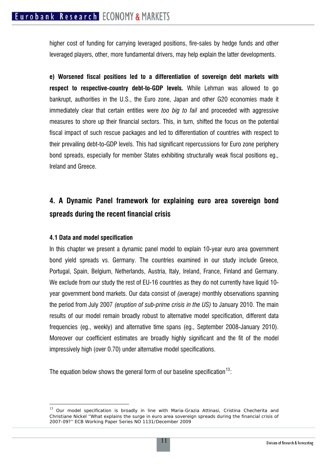higher cost of funding for carrying leveraged positions, fire-sales by hedge funds and other leveraged players, other, more fundamental drivers, may help explain the latter developments.

**e) Worsened fiscal positions led to a differentiation of sovereign debt markets with respect to respective-country debt-to-GDP levels.** While Lehman was allowed to go bankrupt, authorities in the U.S., the Euro zone, Japan and other G20 economies made it immediately clear that certain entities were *too big to fail* and proceeded with aggressive measures to shore up their financial sectors. This, in turn, shifted the focus on the potential fiscal impact of such rescue packages and led to differentiation of countries with respect to their prevailing debt-to-GDP levels. This had significant repercussions for Euro zone periphery bond spreads, especially for member States exhibiting structurally weak fiscal positions eg., Ireland and Greece.

## **4. A Dynamic Panel framework for explaining euro area sovereign bond spreads during the recent financial crisis**

#### **4.1 Data and model specification**

 $\overline{a}$ 

In this chapter we present a dynamic panel model to explain 10-year euro area government bond yield spreads vs. Germany. The countries examined in our study include Greece, Portugal, Spain, Belgium, Netherlands, Austria, Italy, Ireland, France, Finland and Germany. We exclude from our study the rest of EU-16 countries as they do not currently have liquid 10year government bond markets. Our data consist of *(average)* monthly observations spanning the period from July 2007 *(eruption of sub-prime crisis in the US)* to January 2010. The main results of our model remain broadly robust to alternative model specification, different data frequencies (eg., weekly) and alternative time spans (eg., September 2008-January 2010). Moreover our coefficient estimates are broadly highly significant and the fit of the model impressively high (over 0.70) under alternative model specifications.

The equation below shows the general form of our baseline specification  $13$ .

<span id="page-10-0"></span><sup>&</sup>lt;sup>13</sup> Our model specification is broadly in line with Maria-Grazia Attinasi, Cristina Checherita and Christiane Nickel ''What explains the surge in euro area sovereign spreads during the financial crisis of 2007-09?'' ECB Working Paper Series NO 1131/December 2009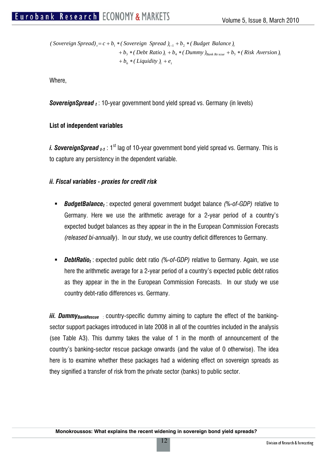$+ b_6 * (Liquidity)_t + e_t$  $b_3 * (Debt Ratio)_t + b_4 * (Dummy)_{Bank Re scale} + b_5 * (Risk Aversion)_t$  $t$  *(Sovereign Spread)*  $t = c + b_1 *$  *(Sovereign Spread )* $t_{i-1} + b_2 *$  *(Budget Balance)* 

Where,

**SovereignSpread** <sub>t</sub> : 10-year government bond yield spread vs. Germany (in levels)

#### **List of independent variables**

*i. SovereignSpread <sub>t-1</sub>* : 1<sup>st</sup> lag of 10-year government bond yield spread vs. Germany. This is to capture any persistency in the dependent variable.

#### *ii. Fiscal variables - proxies for credit risk*

- *BudgetBalancet* : expected general government budget balance *(%-of-GDP)* relative to Germany. Here we use the arithmetic average for a 2-year period of a country's expected budget balances as they appear in the in the European Commission Forecasts *(released bi-annually*). In our study, we use country deficit differences to Germany.
- *DebtRatio<sub>t</sub>*: expected public debt ratio *(%-of-GDP)* relative to Germany. Again, we use here the arithmetic average for a 2-year period of a country's expected public debt ratios as they appear in the in the European Commission Forecasts. In our study we use country debt-ratio differences vs. Germany.

*iii. Dummy<sub>BankRescue</sub>* country-specific dummy aiming to capture the effect of the bankingsector support packages introduced in late 2008 in all of the countries included in the analysis (see Table A3). This dummy takes the value of 1 in the month of announcement of the country's banking-sector rescue package onwards (and the value of 0 otherwise). The idea here is to examine whether these packages had a widening effect on sovereign spreads as they signified a transfer of risk from the private sector (banks) to public sector.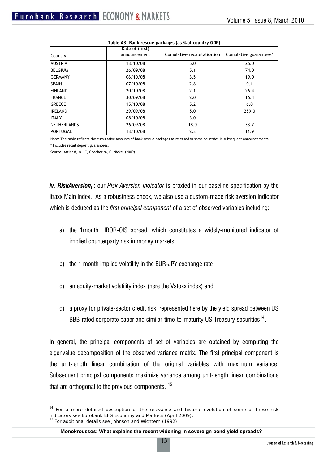|                    | Table A3: Bank rescue packages (as % of country GDP) |                             |                        |  |  |  |  |
|--------------------|------------------------------------------------------|-----------------------------|------------------------|--|--|--|--|
|                    | Date of (first)                                      |                             |                        |  |  |  |  |
| Country            | announcement                                         | Cumulative recapitalisation | Cumulative guarantees* |  |  |  |  |
| <b>AUSTRIA</b>     | 13/10/08                                             | 5.0                         | 26.0                   |  |  |  |  |
| <b>BELGIUM</b>     | 26/09/08                                             | 5.1                         | 74.0                   |  |  |  |  |
| <b>GERMANY</b>     | 06/10/08                                             | 3.5                         | 19.0                   |  |  |  |  |
| <b>SPAIN</b>       | 07/10/08                                             | 2.8                         | 9.1                    |  |  |  |  |
| <b>FINLAND</b>     | 20/10/08                                             | 2.1                         | 26.4                   |  |  |  |  |
| <b>FRANCE</b>      | 30/09/08                                             | 2.0                         | 16.4                   |  |  |  |  |
| <b>GREECE</b>      | 15/10/08                                             | 5.2                         | 6.0                    |  |  |  |  |
| <b>IRELAND</b>     | 29/09/08                                             | 5.0                         | 259.0                  |  |  |  |  |
| <b>ITALY</b>       | 08/10/08                                             | 3.0                         |                        |  |  |  |  |
| <b>NETHERLANDS</b> | 26/09/08                                             | 18.0                        | 33.7                   |  |  |  |  |
| PORTUGAL           | 13/10/08                                             | 2.3                         | 11.9                   |  |  |  |  |

Note: The table reflects the cumulative amounts of bank rescue packages as released in some countries in subsequent announcements \* Includes retail deposit guarantees.

Source: Attinasi, M., C, Checherita, C, Nickel (2009)

 $\overline{a}$ 

*iv. RiskAversion<sub>t</sub>*: our *Risk Aversion Indicator* is proxied in our baseline specification by the Itraxx Main index. As a robustness check, we also use a custom-made risk aversion indicator which is deduced as the *first principal component* of a set of observed variables including:

- a) the 1month LIBOR-OIS spread, which constitutes a widely-monitored indicator of implied counterparty risk in money markets
- b) the 1 month implied volatility in the EUR-JPY exchange rate
- c) an equity-market volatility index (here the Vstoxx index) and
- d) a proxy for private-sector credit risk, represented here by the yield spread between US BBB-rated corporate paper and similar-time-to-maturity US Treasury securities<sup>[14](#page-12-0)</sup>.

In general, the principal components of set of variables are obtained by computing the eigenvalue decomposition of the observed variance matrix. The first principal component is the unit-length linear combination of the original variables with maximum variance. Subsequent principal components maximize variance among unit-length linear combinations that are orthogonal to the previous components.  $15$ 

<span id="page-12-1"></span><span id="page-12-0"></span> $14$  For a more detailed description of the relevance and historic evolution of some of these risk indicators see Eurobank EFG *Economy and Markets* (April 2009). <sup>15</sup> For additional details see Johnson and Wichtern (1992).

**Monokroussos: What explains the recent widening in sovereign bond yield spreads***?*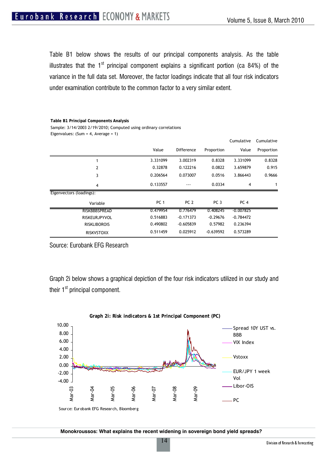Table B1 below shows the results of our principal components analysis. As the table illustrates that the  $1<sup>st</sup>$  principal component explains a significant portion (ca 84%) of the variance in the full data set. Moreover, the factor loadings indicate that all four risk indicators under examination contribute to the common factor to a very similar extent.

Eigenvalues: (Sum = 4, Average = 1) **Table B1 Principal Components Analysis** Sample: 3/14/2003 2/19/2010; Computed using ordinary correlations

|                          |                 |                   |                 | Cumulative      | Cumulative |
|--------------------------|-----------------|-------------------|-----------------|-----------------|------------|
|                          | Value           | <b>Difference</b> | Proportion      | Value           | Proportion |
| 1                        | 3.331099        | 3.002319          | 0.8328          | 3.331099        | 0.8328     |
| 2                        | 0.32878         | 0.122216          | 0.0822          | 3.659879        | 0.915      |
| 3                        | 0.206564        | 0.073007          | 0.0516          | 3.866443        | 0.9666     |
| $\overline{4}$           | 0.133557        |                   | 0.0334          | 4               | 1          |
| Eigenvectors (loadings): |                 |                   |                 |                 |            |
| Variable                 | PC <sub>1</sub> | PC <sub>2</sub>   | PC <sub>3</sub> | PC <sub>4</sub> |            |
| <b>RISKBBBSPREAD</b>     | 0.479954        | 0.776479          | 0.408245        | $-0.007825$     |            |
| <b>RISKEURJPYVOL</b>     | 0.516883        | $-0.171373$       | $-0.29676$      | $-0.784472$     |            |
| <b>RISKLIBOROIS</b>      | 0.490802        | $-0.605839$       | 0.57982         | 0.236394        |            |
| <b>RISKVSTOXX</b>        | 0.511459        | 0.025912          | $-0.639592$     | 0.573289        |            |

Source: Eurobank EFG Research

Graph 2i below shows a graphical depiction of the four risk indicators utilized in our study and their  $1<sup>st</sup>$  principal component.



**Monokroussos: What explains the recent widening in sovereign bond yield spreads***?*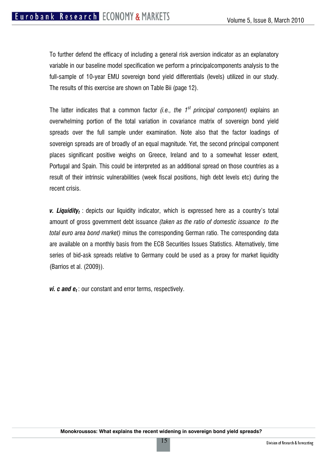To further defend the efficacy of including a general risk aversion indicator as an explanatory variable in our baseline model specification we perform a principalcomponents analysis to the full-sample of 10-year EMU sovereign bond yield differentials (levels) utilized in our study. The results of this exercise are shown on Table Bii (page 12).

The latter indicates that a common factor *(i.e., the 1st principal component)* explains an overwhelming portion of the total variation in covariance matrix of sovereign bond yield spreads over the full sample under examination. Note also that the factor loadings of sovereign spreads are of broadly of an equal magnitude. Yet, the second principal component places significant positive weighs on Greece, Ireland and to a somewhat lesser extent, Portugal and Spain. This could be interpreted as an additional spread on those countries as a result of their intrinsic vulnerabilities (week fiscal positions, high debt levels etc) during the recent crisis.

**v. Liquidity**<sub>t</sub>: depicts our liquidity indicator, which is expressed here as a country's total amount of gross government debt issuance *(taken as the ratio of domestic issuance to the total euro area bond market)* minus the corresponding German ratio. The corresponding data are available on a monthly basis from the ECB Securities Issues Statistics. Alternatively, time series of bid-ask spreads relative to Germany could be used as a proxy for market liquidity (Barrios et al. (2009)).

*vi. c and e<sub>t</sub>*: our constant and error terms, respectively.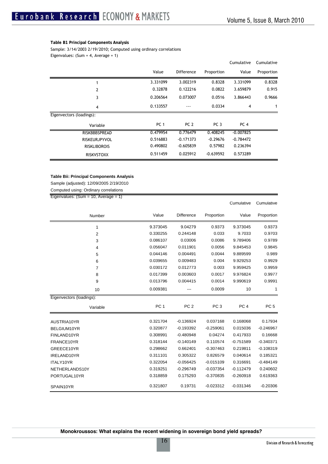#### **Table B1 Principal Components Analysis**

Sample: 3/14/2003 2/19/2010; Computed using ordinary correlations

Eigenvalues: (Sum = 4, Average = 1)

|                          |                 |                   |                 | Cumulative      | Cumulative |
|--------------------------|-----------------|-------------------|-----------------|-----------------|------------|
|                          | Value           | <b>Difference</b> | Proportion      | Value           | Proportion |
|                          | 3.331099        | 3.002319          | 0.8328          | 3.331099        | 0.8328     |
| 2                        | 0.32878         | 0.122216          | 0.0822          | 3.659879        | 0.915      |
| 3                        | 0.206564        | 0.073007          | 0.0516          | 3.866443        | 0.9666     |
| 4                        | 0.133557        | ---               | 0.0334          | $\overline{4}$  | 1          |
| Eigenvectors (loadings): |                 |                   |                 |                 |            |
| Variable                 | PC <sub>1</sub> | PC <sub>2</sub>   | PC <sub>3</sub> | PC <sub>4</sub> |            |
| RISKBBBSPREAD            | 0.479954        | 0.776479          | 0.408245        | $-0.007825$     |            |
| <b>RISKEURJPYVOL</b>     | 0.516883        | $-0.171373$       | $-0.29676$      | $-0.784472$     |            |
| <b>RISKLIBOROIS</b>      | 0.490802        | $-0.605839$       | 0.57982         | 0.236394        |            |
| <b>RISKVSTOXX</b>        | 0.511459        | 0.025912          | $-0.639592$     | 0.573289        |            |

#### **Table Bii: Principal Components Analysis**

Sample (adjusted): 12/09/2005 2/19/2010

Computed using: Ordinary correlations

Eigenvalues: (Sum = 10, Average = 1)

|                          |                 |                 |                 | Cumulative      | Cumulative      |
|--------------------------|-----------------|-----------------|-----------------|-----------------|-----------------|
| Number                   | Value           | Difference      | Proportion      | Value           | Proportion      |
| 1                        | 9.373045        | 9.04279         | 0.9373          | 9.373045        | 0.9373          |
| $\overline{2}$           | 0.330255        | 0.244148        | 0.033           | 9.7033          | 0.9703          |
| 3                        | 0.086107        | 0.03006         | 0.0086          | 9.789406        | 0.9789          |
| 4                        | 0.056047        | 0.011901        | 0.0056          | 9.845453        | 0.9845          |
| 5                        | 0.044146        | 0.004491        | 0.0044          | 9.889599        | 0.989           |
| 6                        | 0.039655        | 0.009483        | 0.004           | 9.929253        | 0.9929          |
| $\overline{7}$           | 0.030172        | 0.012773        | 0.003           | 9.959425        | 0.9959          |
| 8                        | 0.017399        | 0.003603        | 0.0017          | 9.976824        | 0.9977          |
| 9                        | 0.013796        | 0.004415        | 0.0014          | 9.990619        | 0.9991          |
| 10                       | 0.009381        |                 | 0.0009          | 10              | 1               |
| Eigenvectors (loadings): |                 |                 |                 |                 |                 |
| Variable                 | PC <sub>1</sub> | PC <sub>2</sub> | PC <sub>3</sub> | PC <sub>4</sub> | PC <sub>5</sub> |
| AUSTRIA10YR              | 0.321704        | $-0.136924$     | 0.037168        | 0.168068        | 0.17934         |
| BELGIUM10YR              | 0.320877        | $-0.193392$     | $-0.259061$     | 0.015036        | $-0.246967$     |
| FINLAND10YR              | 0.308991        | $-0.480948$     | 0.04274         | 0.417933        | 0.16668         |
| FRANCE10YR               | 0.318144        | $-0.140149$     | 0.110574        | $-0.751589$     | $-0.340371$     |
| GREECE10YR               | 0.298662        | 0.662401        | $-0.307463$     | 0.219811        | $-0.108319$     |
| IRELAND10YR              | 0.311101        | 0.305322        | 0.826579        | 0.040614        | 0.185321        |
| ITALY10YR                | 0.322054        | $-0.056425$     | $-0.015109$     | 0.316691        | $-0.484149$     |
| NETHERLANDS10Y           | 0.319251        | $-0.296749$     | $-0.037354$     | $-0.112479$     | 0.240602        |
| PORTUGAL10YR             | 0.318859        | 0.175293        | $-0.370835$     | $-0.260918$     | 0.619363        |
| SPAIN10YR                | 0.321807        | 0.19731         | $-0.023312$     | $-0.031346$     | $-0.20306$      |

**Monokroussos: What explains the recent widening in sovereign bond yield spreads***?*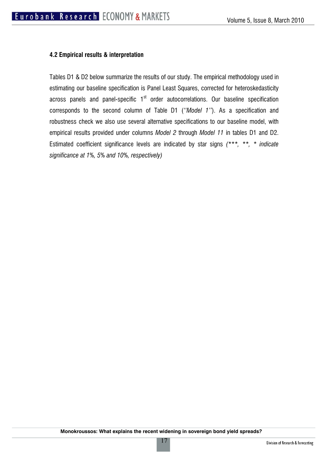#### **4.2 Empirical results & interpretation**

Tables D1 & D2 below summarize the results of our study. The empirical methodology used in estimating our baseline specification is Panel Least Squares, corrected for heteroskedasticity across panels and panel-specific  $1<sup>st</sup>$  order autocorrelations. Our baseline specification corresponds to the second column of Table D1 (*''Model 1''*). As a specification and robustness check we also use several alternative specifications to our baseline model, with empirical results provided under columns *Model 2* through *Model 11* in tables D1 and D2. Estimated coefficient significance levels are indicated by star signs *(\*\*\*, \*\*, \* indicate significance at 1%, 5% and 10%, respectively)*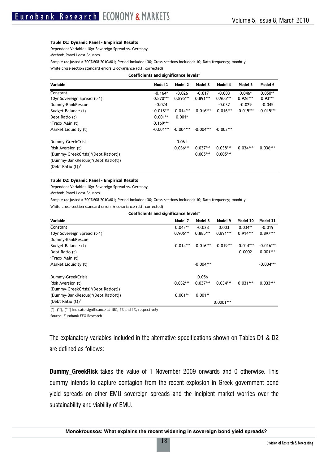#### **Table D1: Dynamic Panel - Empirical Results**  Dependent Variable: 10yr Sovereign Spread vs. Germany Method: Panel Least Squares

Sample (adjusted): 2007M08 2010M01; Period included: 30; Cross-sections included: 10; Data frequency; monhtly

White cross-section standard errors & covariance (d.f. corrected)

| Coefficients and significance levels' |  |
|---------------------------------------|--|
|---------------------------------------|--|

| Variable                            | Model 1     | Model 2     | Model 3     | Model 4     | Model 5     | Model 6     |
|-------------------------------------|-------------|-------------|-------------|-------------|-------------|-------------|
| Constant                            | $-0.164*$   | $-0.026$    | $-0.017$    | $-0.003$    | $0.046*$    | $0.050**$   |
| 10yr Sovereign Spread (t-1)         | $0.870***$  | $0.895***$  | $0.891***$  | $0.905***$  | $0.926***$  | $0.93***$   |
| Dummy-BankRescue                    | $-0.024$    |             |             | $-0.032$    | $-0.029$    | $-0.045$    |
| Budget Balance (t)                  | $-0.018***$ | $-0.014***$ | $-0.016***$ | $-0.016***$ | $-0.015***$ | $-0.015***$ |
| Debt Ratio (t)                      | $0.001**$   | $0.001*$    |             |             |             |             |
| <i>iTraxx Main (t)</i>              | $0.169***$  |             |             |             |             |             |
| Market Liquidity (t)                | $-0.001***$ | $-0.004***$ | $-0.004***$ | $-0.003***$ |             |             |
| Dummy-GreekCrisis                   |             | 0.061       |             |             |             |             |
| Risk Aversion (t)                   |             | $0.036***$  | $0.037***$  | $0.038***$  | $0.034***$  | $0.036***$  |
| (Dummy-GreekCrisis)*(Debt Ratio(t)) |             |             | $0.005***$  | $0.005***$  |             |             |
| (Dummy-BankRescue)*(Debt Ratio(t))  |             |             |             |             |             |             |
| (Debt Ratio $(t)^2$                 |             |             |             |             |             |             |

**Table D2: Dynamic Panel - Empirical Results** 

Dependent Variable: 10yr Sovereign Spread vs. Germany

Method: Panel Least Squares

Sample (adjusted): 2007M08 2010M01; Period included: 30; Cross-sections included: 10; Data frequency; monhtly

White cross-section standard errors & covariance (d.f. corrected)

**Coefficients and significance levels<sup>1</sup>**

| Variable                            | Model 7     | Model 8     | Model 9     | Model 10    | Model 11    |
|-------------------------------------|-------------|-------------|-------------|-------------|-------------|
| Constant                            | $0.043**$   | $-0.028$    | 0.003       | $0.034**$   | $-0.019$    |
| 10yr Sovereign Spread (t-1)         | $0.906***$  | $0.885***$  | $0.891***$  | $0.914***$  | $0.897***$  |
| Dummy-BankRescue                    |             |             |             |             |             |
| Budget Balance (t)                  | $-0.014***$ | $-0.016***$ | $-0.019***$ | $-0.014***$ | $-0.016***$ |
| Debt Ratio (t)                      |             |             |             | 0.0002      | $0.001***$  |
| iTraxx Main (t)                     |             |             |             |             |             |
| Market Liquidity (t)                |             | $-0.004***$ |             |             | $-0.004***$ |
| Dummy-GreekCrisis                   |             | 0.056       |             |             |             |
| Risk Aversion (t)                   | $0.032***$  | $0.037***$  | $0.034***$  | $0.031***$  | $0.033***$  |
| (Dummy-GreekCrisis)*(Debt Ratio(t)) |             |             |             |             |             |
| (Dummy-BankRescue)*(Debt Ratio(t))  | $0.001**$   | $0.001**$   |             |             |             |
| (Debt Ratio $(t)$ ) <sup>2</sup>    |             |             | $0.0001***$ |             |             |

 $(*)$ ,  $(**)$ ,  $(**)$  Indicate significance at 10%, 5% and 1%, respectively

Source: Eurobank EFG Research

The explanatory variables included in the alternative specifications shown on Tables D1 & D2 are defined as follows:

**Dummy GreekRisk** takes the value of 1 November 2009 onwards and 0 otherwise. This dummy intends to capture contagion from the recent explosion in Greek government bond yield spreads on other EMU sovereign spreads and the incipient market worries over the sustainability and viability of EMU.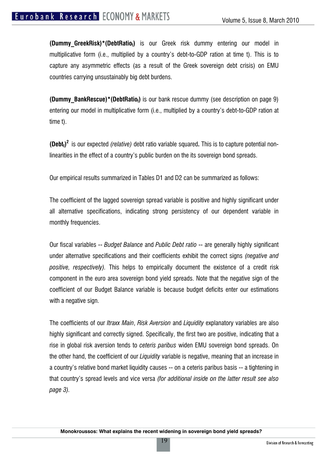**(Dummy GreekRisk)\*(DebtRatiot)** is our Greek risk dummy entering our model in multiplicative form (i.e., multiplied by a country's debt-to-GDP ration at time t). This is to capture any asymmetric effects (as a result of the Greek sovereign debt crisis) on EMU countries carrying unsustainably big debt burdens.

**(Dummy BankRescue)\*(DebtRatiot)** is our bank rescue dummy (see description on page 9) entering our model in multiplicative form (i.e., multiplied by a country's debt-to-GDP ration at time t).

**(Debtt) <sup>2</sup>**is our expected *(relative)* debt ratio variable squared**.** This is to capture potential nonlinearities in the effect of a country's public burden on the its sovereign bond spreads.

Our empirical results summarized in Tables D1 and D2 can be summarized as follows:

The coefficient of the lagged sovereign spread variable is positive and highly significant under all alternative specifications, indicating strong persistency of our dependent variable in monthly frequencies.

Our fiscal variables -- *Budget Balance* and *Public Debt ratio* -- are generally highly significant under alternative specifications and their coefficients exhibit the correct signs *(negative and positive, respectively).* This helps to empirically document the existence of a credit risk component in the euro area sovereign bond yield spreads. Note that the negative sign of the coefficient of our Budget Balance variable is because budget deficits enter our estimations with a negative sign.

The coefficients of our *Itraxx Main*, *Risk Aversion* and *Liquidity* explanatory variables are also highly significant and correctly signed. Specifically, the first two are positive, indicating that a rise in global risk aversion tends to *ceteris paribus* widen EMU sovereign bond spreads. On the other hand, the coefficient of our *Liquidity* variable is negative, meaning that an increase in a country's relative bond market liquidity causes -- on a ceteris paribus basis -- a tightening in that country's spread levels and vice versa *(for additional inside on the latter result see also page 3).* 

19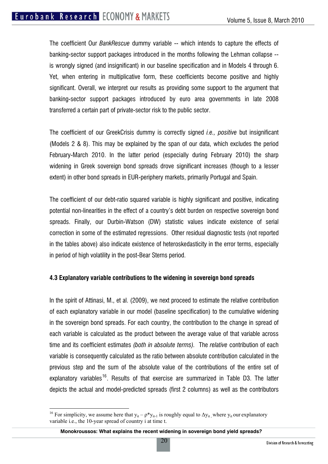The coefficient Our *BankRescue* dummy variable -- which intends to capture the effects of banking-sector support packages introduced in the months following the Lehman collapse - is wrongly signed (and insignificant) in our baseline specification and in Models 4 through 6. Yet, when entering in multiplicative form, these coefficients become positive and highly significant. Overall, we interpret our results as providing some support to the argument that banking-sector support packages introduced by euro area governments in late 2008 transferred a certain part of private-sector risk to the public sector.

The coefficient of our GreekCrisis dummy is correctly signed *i.e., positive* but insignificant (Models 2 & 8). This may be explained by the span of our data, which excludes the period February-March 2010. In the latter period (especially during February 2010) the sharp widening in Greek sovereign bond spreads drove significant increases (though to a lesser extent) in other bond spreads in EUR-periphery markets, primarily Portugal and Spain.

The coefficient of our debt-ratio squared variable is highly significant and positive, indicating potential non-linearities in the effect of a country's debt burden on respective sovereign bond spreads. Finally, our Durbin-Watson (DW) statistic values indicate existence of serial correction in some of the estimated regressions. Other residual diagnostic tests (not reported in the tables above) also indicate existence of heteroskedasticity in the error terms, especially in period of high volatility in the post-Bear Sterns period.

#### **4.3 Explanatory variable contributions to the widening in sovereign bond spreads**

In the spirit of Attinasi, M., et al. (2009), we next proceed to estimate the relative contribution of each explanatory variable in our model (baseline specification) to the cumulative widening in the sovereign bond spreads. For each country, the contribution to the change in spread of each variable is calculated as the product between the average value of that variable across time and its coefficient estimates *(both in absolute terms).* The *relative* contribution of each variable is consequently calculated as the ratio between absolute contribution calculated in the previous step and the sum of the absolute value of the contributions of the entire set of explanatory variables<sup>[16](#page-19-0)</sup>. Results of that exercise are summarized in Table D3. The latter depicts the actual and model-predicted spreads (first 2 columns) as well as the contributors

 $\overline{a}$ 

<span id="page-19-0"></span><sup>&</sup>lt;sup>16</sup> For simplicity, we assume here that  $y_{it} - \rho^* y_{it-1}$  is roughly equal to  $\Delta y_{it}$ , where  $y_{it}$  our explanatory variable i.e., the 10-year spread of country i at time t.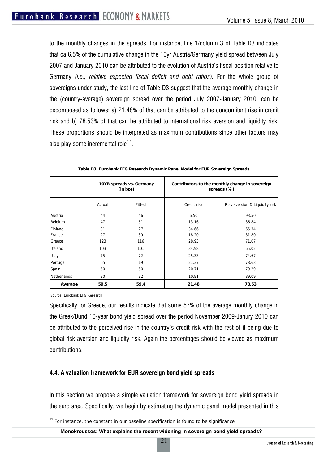to the monthly changes in the spreads. For instance, line 1/column 3 of Table D3 indicates that ca 6.5% of the cumulative change in the 10yr Austria/Germany yield spread between July 2007 and January 2010 can be attributed to the evolution of Austria´s fiscal position relative to Germany *(i.e., relative expected fiscal deficit and debt ratios).* For the whole group of sovereigns under study, the last line of Table D3 suggest that the average monthly change in the (country-average) sovereign spread over the period July 2007-January 2010, can be decomposed as follows: a) 21.48% of that can be attributed to the concomitant rise in credit risk and b) 78.53% of that can be attributed to international risk aversion and liquidity risk. These proportions should be interpreted as maximum contributions since other factors may also play some incremental role<sup>[17](#page-20-0)</sup>.

|             | 10YR spreads vs. Germany<br>(in bps) |        | Contributors to the monthly change in sovereign<br>spreads (%) |                                |  |
|-------------|--------------------------------------|--------|----------------------------------------------------------------|--------------------------------|--|
|             | Actual                               | Fitted | Credit risk                                                    | Risk aversion & Liquidity risk |  |
| Austria     | 44                                   | 46     | 6.50                                                           | 93.50                          |  |
| Belgium     | 47                                   | 51     | 13.16                                                          | 86.84                          |  |
| Finland     | 31                                   | 27     | 34.66                                                          | 65.34                          |  |
| France      | 27                                   | 30     | 18.20                                                          | 81.80                          |  |
| Greece      | 123                                  | 116    | 28.93                                                          | 71.07                          |  |
| Iteland     | 103                                  | 101    | 34.98                                                          | 65.02                          |  |
| Italy       | 75                                   | 72     | 25.33                                                          | 74.67                          |  |
| Portugal    | 65                                   | 69     | 21.37                                                          | 78.63                          |  |
| Spain       | 50                                   | 50     | 20.71                                                          | 79.29                          |  |
| Netherlands | 30                                   | 32     | 10.91                                                          | 89.09                          |  |
| Average     | 59.5                                 | 59.4   | 21.48                                                          | 78.53                          |  |

**Table D3: Eurobank EFG Research Dynamic Panel Model for EUR Sovereign Spreads** 

Source: Eurobank EFG Research

 $\overline{a}$ 

Specifically for Greece, our results indicate that some 57% of the average monthly change in the Greek/Bund 10-year bond yield spread over the period November 2009-Janury 2010 can be attributed to the perceived rise in the country's credit risk with the rest of it being due to global risk aversion and liquidity risk. Again the percentages should be viewed as maximum contributions.

#### **4.4. A valuation framework for EUR sovereign bond yield spreads**

In this section we propose a simple valuation framework for sovereign bond yield spreads in the euro area. Specifically, we begin by estimating the dynamic panel model presented in this

21

<span id="page-20-0"></span> $17$  For instance, the constant in our baseline specification is found to be significance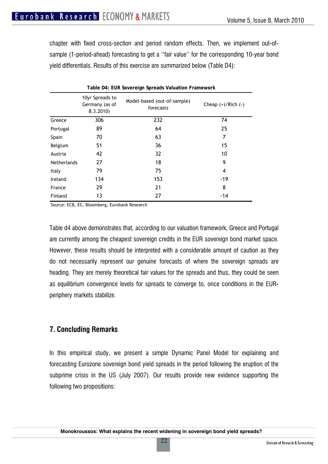chapter with fixed cross-section and period random effects. Then, we implement out-ofsample (1-period-ahead) forecasting to get a "fair value" for the corresponding 10-year bond yield differentials. Results of this exercise are summarized below (Table D4):

|                    | 10yr Spreads to<br>Germany (as of<br>8.3.2010) | Model-based (out-of-sample)<br>forecasts | Cheap $(+)/$ Rich $(-)$ |
|--------------------|------------------------------------------------|------------------------------------------|-------------------------|
| Greece             | 306                                            | 232                                      | 74                      |
| Portugal           | 89                                             | 64                                       | 25                      |
| Spain              | 70                                             | 63                                       | 7                       |
| Belgium            | 51                                             | 36                                       | 15                      |
| Austria            | 42                                             | 32                                       | 10                      |
| <b>Netherlands</b> | 27                                             | 18                                       | 9                       |
| Italy              | 79                                             | 75                                       | 4                       |
| Ireland            | 134                                            | 153                                      | -19                     |
| France             | 29                                             | 21                                       | 8                       |
| Finland            | 13                                             | 27                                       | -14                     |

**Table D4: EUR Sovereign Spreads Valuation Framework**

Source: ECB, EC, Bloomberg, Eurobank Research

Table d4 above demonstrates that, according to our valuation framework, Greece and Portugal are currently among the cheapest sovereign credits in the EUR sovereign bond market space. However, these results should be interpreted with a considerable amount of caution as they do not necessarily represent our genuine forecasts of where the sovereign spreads are heading. They are merely theoretical fair values for the spreads and thus, they could be seen as equilibrium convergence levels for spreads to converge to, once conditions in the EURperiphery markets stabilize.

#### **7. Concluding Remarks**

In this empirical study, we present a simple Dynamic Panel Model for explaining and forecasting Eurozone sovereign bond yield spreads in the period following the eruption of the subprime crisis in the US (July 2007). Our results provide new evidence supporting the following two propositions:

22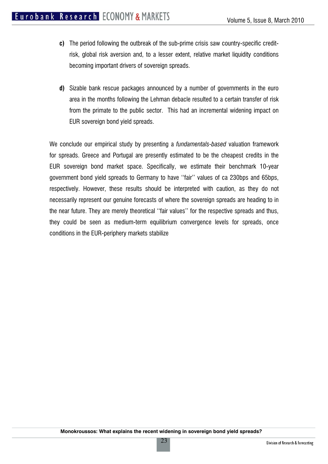- **c)** The period following the outbreak of the sub-prime crisis saw country-specific creditrisk, global risk aversion and, to a lesser extent, relative market liquidity conditions becoming important drivers of sovereign spreads.
- **d)** Sizable bank rescue packages announced by a number of governments in the euro area in the months following the Lehman debacle resulted to a certain transfer of risk from the primate to the public sector. This had an incremental widening impact on EUR sovereign bond yield spreads.

We conclude our empirical study by presenting a *fundamentals-based* valuation framework for spreads. Greece and Portugal are presently estimated to be the cheapest credits in the EUR sovereign bond market space. Specifically, we estimate their benchmark 10-year government bond yield spreads to Germany to have ''fair'' values of ca 230bps and 65bps, respectively. However, these results should be interpreted with caution, as they do not necessarily represent our genuine forecasts of where the sovereign spreads are heading to in the near future. They are merely theoretical ''fair values'' for the respective spreads and thus, they could be seen as medium-term equilibrium convergence levels for spreads, once conditions in the EUR-periphery markets stabilize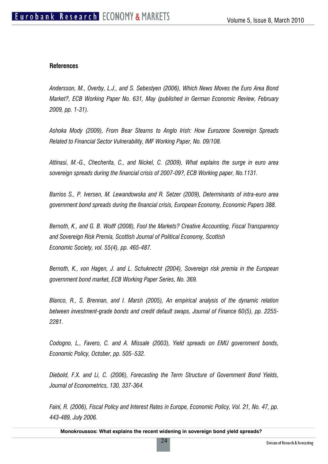#### **References**

*Andersson, M., Overby, L.J., and S. Sebestyen (2006), Which News Moves the Euro Area Bond Market?, ECB Working Paper No. 631, May (published in German Economic Review, February 2009, pp. 1-31).* 

*Ashoka Mody (2009), From Bear Stearns to Anglo Irish: How Eurozone Sovereign Spreads Related to Financial Sector Vulnerability, IMF Working Paper, No. 09/108.* 

*Attinasi, M.-G., Checherita, C., and Nickel, C. (2009), What explains the surge in euro area sovereign spreads during the financial crisis of 2007-09?, ECB Working paper, No.1131.* 

*Barrios S., P. Iversen, M. Lewandowska and R. Setzer (2009), Determinants of intra-euro area government bond spreads during the financial crisis, European Economy, Economic Papers 388.* 

*Bernoth, K., and G. B. Wolff (2008), Fool the Markets? Creative Accounting, Fiscal Transparency and Sovereign Risk Premia, Scottish Journal of Political Economy, Scottish Economic Society, vol. 55(4), pp. 465-487.* 

*Bernoth, K., von Hagen, J. and L. Schuknecht (2004), Sovereign risk premia in the European government bond market, ECB Working Paper Series, No. 369.* 

*Blanco, R., S. Brennan, and I. Marsh (2005), An empirical analysis of the dynamic relation between investment-grade bonds and credit default swaps, Journal of Finance 60(5), pp. 2255- 2281.* 

*Codogno, L., Favero, C. and A. Missale (2003), Yield spreads on EMU government bonds, Economic Policy, October, pp. 505–532.* 

*Diebold, F.X. and Li, C. (2006), Forecasting the Term Structure of Government Bond Yields, Journal of Econometrics, 130, 337-364.* 

*Faini, R. (2006), Fiscal Policy and Interest Rates in Europe, Economic Policy, Vol. 21, No. 47, pp. 443-489, July 2006.*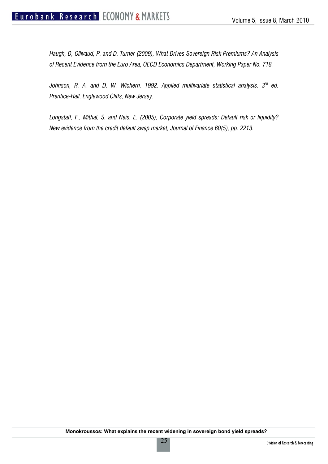*Haugh, D, Ollivaud, P. and D. Turner (2009), What Drives Sovereign Risk Premiums? An Analysis of Recent Evidence from the Euro Area, OECD Economics Department, Working Paper No. 718.* 

Johnson, R. A. and D. W. Wichern. 1992. Applied multivariate statistical analysis. 3<sup>rd</sup> ed. *Prentice-Hall, Englewood Cliffs, New Jersey.* 

*Longstaff, F., Mithal, S. and Neis, E. (2005), Corporate yield spreads: Default risk or liquidity? New evidence from the credit default swap market, Journal of Finance 60(5), pp. 2213.*